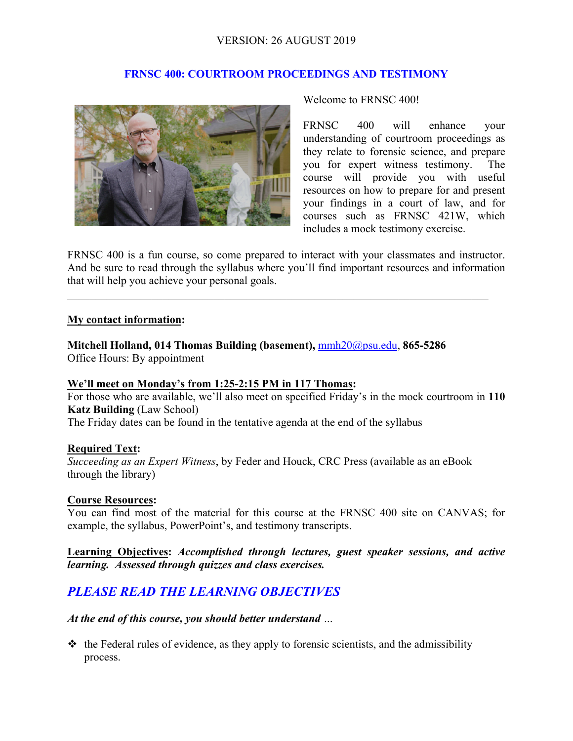# VERSION: 26 AUGUST 2019

## **FRNSC 400: COURTROOM PROCEEDINGS AND TESTIMONY**



Welcome to FRNSC 400!

FRNSC 400 will enhance your understanding of courtroom proceedings as they relate to forensic science, and prepare you for expert witness testimony. The course will provide you with useful resources on how to prepare for and present your findings in a court of law, and for courses such as FRNSC 421W, which includes a mock testimony exercise.

FRNSC 400 is a fun course, so come prepared to interact with your classmates and instructor. And be sure to read through the syllabus where you'll find important resources and information that will help you achieve your personal goals.

 $\mathcal{L}_\mathcal{L} = \{ \mathcal{L}_\mathcal{L} = \{ \mathcal{L}_\mathcal{L} = \{ \mathcal{L}_\mathcal{L} = \{ \mathcal{L}_\mathcal{L} = \{ \mathcal{L}_\mathcal{L} = \{ \mathcal{L}_\mathcal{L} = \{ \mathcal{L}_\mathcal{L} = \{ \mathcal{L}_\mathcal{L} = \{ \mathcal{L}_\mathcal{L} = \{ \mathcal{L}_\mathcal{L} = \{ \mathcal{L}_\mathcal{L} = \{ \mathcal{L}_\mathcal{L} = \{ \mathcal{L}_\mathcal{L} = \{ \mathcal{L}_\mathcal{$ 

#### **My contact information:**

**Mitchell Holland, 014 Thomas Building (basement),** mmh20@psu.edu, **865-5286**  Office Hours: By appointment

#### **We'll meet on Monday's from 1:25-2:15 PM in 117 Thomas:**

For those who are available, we'll also meet on specified Friday's in the mock courtroom in **110 Katz Building** (Law School)

The Friday dates can be found in the tentative agenda at the end of the syllabus

#### **Required Text:**

*Succeeding as an Expert Witness*, by Feder and Houck, CRC Press (available as an eBook through the library)

#### **Course Resources:**

You can find most of the material for this course at the FRNSC 400 site on CANVAS; for example, the syllabus, PowerPoint's, and testimony transcripts.

**Learning Objectives:** *Accomplished through lectures, guest speaker sessions, and active learning. Assessed through quizzes and class exercises.*

# *PLEASE READ THE LEARNING OBJECTIVES*

*At the end of this course, you should better understand …* 

 $\triangle$  the Federal rules of evidence, as they apply to forensic scientists, and the admissibility process.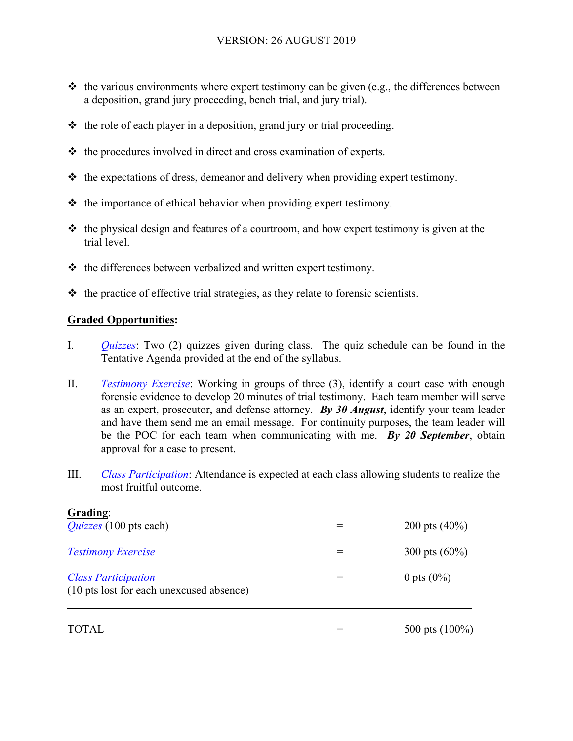- $\cdot$  the various environments where expert testimony can be given (e.g., the differences between a deposition, grand jury proceeding, bench trial, and jury trial).
- $\triangle$  the role of each player in a deposition, grand jury or trial proceeding.
- $\triangle$  the procedures involved in direct and cross examination of experts.
- $\triangle$  the expectations of dress, demeanor and delivery when providing expert testimony.
- $\triangleleft$  the importance of ethical behavior when providing expert testimony.
- $\cdot$  the physical design and features of a courtroom, and how expert testimony is given at the trial level.
- $\triangle$  the differences between verbalized and written expert testimony.
- $\triangleleft$  the practice of effective trial strategies, as they relate to forensic scientists.

# **Graded Opportunities:**

- I. *Quizzes*: Two (2) quizzes given during class. The quiz schedule can be found in the Tentative Agenda provided at the end of the syllabus.
- II. *Testimony Exercise*: Working in groups of three (3), identify a court case with enough forensic evidence to develop 20 minutes of trial testimony. Each team member will serve as an expert, prosecutor, and defense attorney. *By 30 August*, identify your team leader and have them send me an email message. For continuity purposes, the team leader will be the POC for each team when communicating with me. *By 20 September*, obtain approval for a case to present.
- III. *Class Participation*: Attendance is expected at each class allowing students to realize the most fruitful outcome.

| Grading:<br><i>Quizzes</i> (100 pts each)                              | 200 pts $(40\%)$ |
|------------------------------------------------------------------------|------------------|
| <b>Testimony Exercise</b>                                              | 300 pts $(60\%)$ |
| <b>Class Participation</b><br>(10 pts lost for each unexcused absence) | 0 pts $(0\%)$    |

 $\text{TOTAL} = 500 \text{ pts} (100\%)$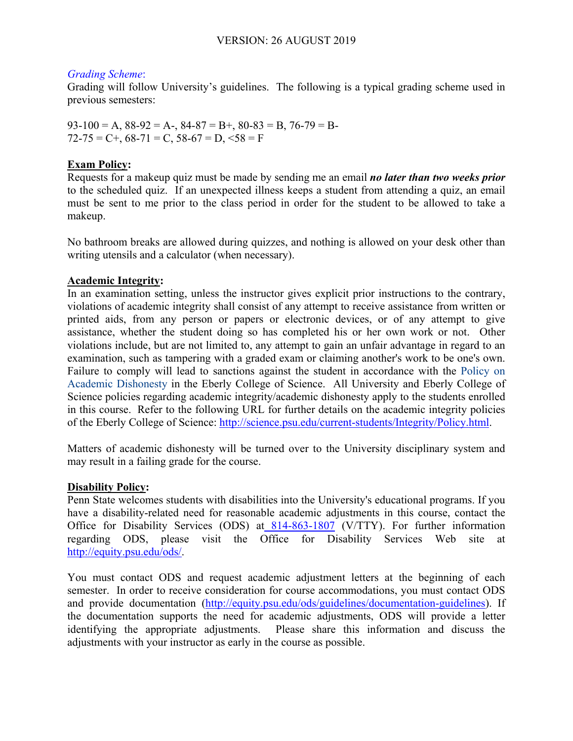## *Grading Scheme*:

Grading will follow University's guidelines. The following is a typical grading scheme used in previous semesters:

 $93-100 = A$ ,  $88-92 = A$ -,  $84-87 = B$ +,  $80-83 = B$ ,  $76-79 = B$ - $72-75 = C +$ ,  $68-71 = C$ ,  $58-67 = D$ ,  $58 = F$ 

# **Exam Policy:**

Requests for a makeup quiz must be made by sending me an email *no later than two weeks prior* to the scheduled quiz. If an unexpected illness keeps a student from attending a quiz, an email must be sent to me prior to the class period in order for the student to be allowed to take a makeup.

No bathroom breaks are allowed during quizzes, and nothing is allowed on your desk other than writing utensils and a calculator (when necessary).

# **Academic Integrity:**

In an examination setting, unless the instructor gives explicit prior instructions to the contrary, violations of academic integrity shall consist of any attempt to receive assistance from written or printed aids, from any person or papers or electronic devices, or of any attempt to give assistance, whether the student doing so has completed his or her own work or not. Other violations include, but are not limited to, any attempt to gain an unfair advantage in regard to an examination, such as tampering with a graded exam or claiming another's work to be one's own. Failure to comply will lead to sanctions against the student in accordance with the Policy on Academic Dishonesty in the Eberly College of Science. All University and Eberly College of Science policies regarding academic integrity/academic dishonesty apply to the students enrolled in this course. Refer to the following URL for further details on the academic integrity policies of the Eberly College of Science: http://science.psu.edu/current-students/Integrity/Policy.html.

Matters of academic dishonesty will be turned over to the University disciplinary system and may result in a failing grade for the course.

# **Disability Policy:**

Penn State welcomes students with disabilities into the University's educational programs. If you have a disability-related need for reasonable academic adjustments in this course, contact the Office for Disability Services (ODS) at 814-863-1807 (V/TTY). For further information regarding ODS, please visit the Office for Disability Services Web site at http://equity.psu.edu/ods/.

You must contact ODS and request academic adjustment letters at the beginning of each semester. In order to receive consideration for course accommodations, you must contact ODS and provide documentation (http://equity.psu.edu/ods/guidelines/documentation-guidelines). If the documentation supports the need for academic adjustments, ODS will provide a letter identifying the appropriate adjustments. Please share this information and discuss the adjustments with your instructor as early in the course as possible.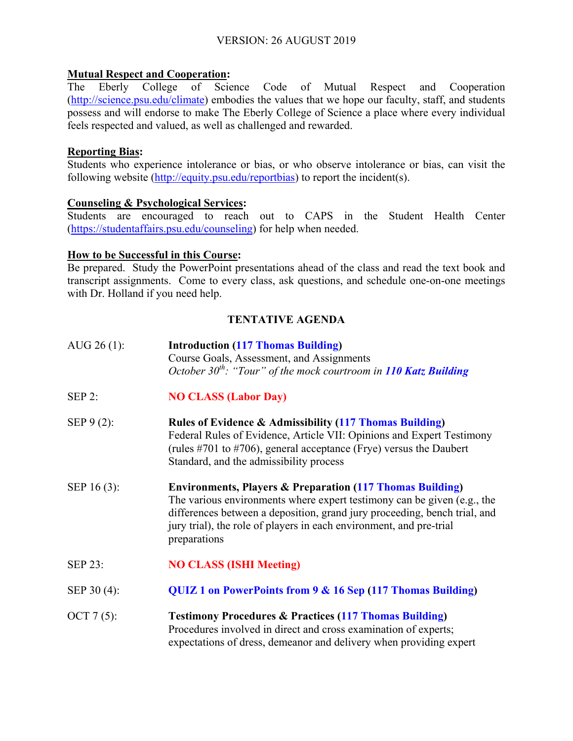## **Mutual Respect and Cooperation:**

The Eberly College of Science Code of Mutual Respect and Cooperation (http://science.psu.edu/climate) embodies the values that we hope our faculty, staff, and students possess and will endorse to make The Eberly College of Science a place where every individual feels respected and valued, as well as challenged and rewarded.

#### **Reporting Bias:**

Students who experience intolerance or bias, or who observe intolerance or bias, can visit the following website (http://equity.psu.edu/reportbias) to report the incident(s).

## **Counseling & Psychological Services:**

Students are encouraged to reach out to CAPS in the Student Health Center (https://studentaffairs.psu.edu/counseling) for help when needed.

#### **How to be Successful in this Course:**

Be prepared. Study the PowerPoint presentations ahead of the class and read the text book and transcript assignments. Come to every class, ask questions, and schedule one-on-one meetings with Dr. Holland if you need help.

# **TENTATIVE AGENDA**

| AUG $26(1)$ : | <b>Introduction (117 Thomas Building)</b><br>Course Goals, Assessment, and Assignments<br>October $30^{th}$ : "Tour" of the mock courtroom in 110 Katz Building                                                                                                                                                     |
|---------------|---------------------------------------------------------------------------------------------------------------------------------------------------------------------------------------------------------------------------------------------------------------------------------------------------------------------|
| SEP 2:        | <b>NO CLASS (Labor Day)</b>                                                                                                                                                                                                                                                                                         |
| SEP $9(2)$ :  | <b>Rules of Evidence &amp; Admissibility (117 Thomas Building)</b><br>Federal Rules of Evidence, Article VII: Opinions and Expert Testimony<br>(rules #701 to #706), general acceptance (Frye) versus the Daubert<br>Standard, and the admissibility process                                                        |
| SEP 16 (3):   | <b>Environments, Players &amp; Preparation (117 Thomas Building)</b><br>The various environments where expert testimony can be given (e.g., the<br>differences between a deposition, grand jury proceeding, bench trial, and<br>jury trial), the role of players in each environment, and pre-trial<br>preparations |
| SEP 23:       | <b>NO CLASS (ISHI Meeting)</b>                                                                                                                                                                                                                                                                                      |
| SEP 30 (4):   | QUIZ 1 on PowerPoints from 9 & 16 Sep (117 Thomas Building)                                                                                                                                                                                                                                                         |
| OCT $7(5)$ :  | <b>Testimony Procedures &amp; Practices (117 Thomas Building)</b><br>Procedures involved in direct and cross examination of experts;<br>expectations of dress, demeanor and delivery when providing expert                                                                                                          |